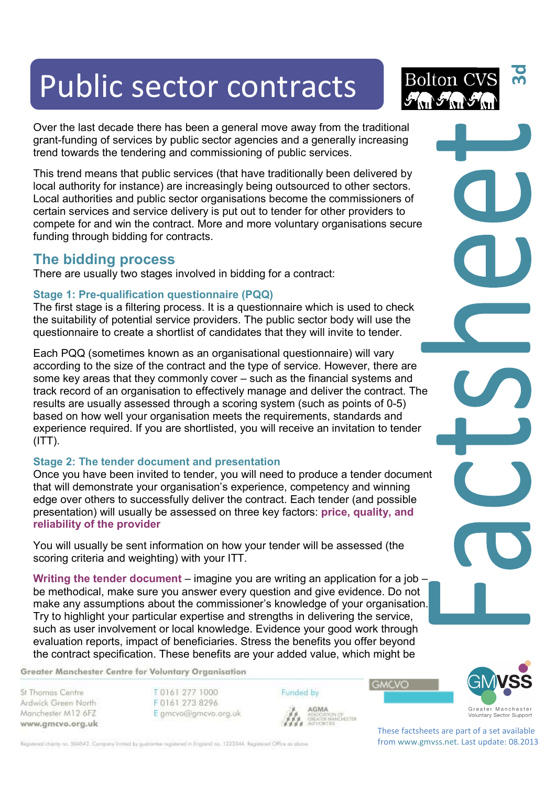# Public sector contracts

Over the last decade there has been a general move away from the traditional grant-funding of services by public sector agencies and a generally increasing trend towards the tendering and commissioning of public services.

This trend means that public services (that have traditionally been delivered by local authority for instance) are increasingly being outsourced to other sectors. Local authorities and public sector organisations become the commissioners of certain services and service delivery is put out to tender for other providers to compete for and win the contract. More and more voluntary organisations secure funding through bidding for contracts.

## **The bidding process**

There are usually two stages involved in bidding for a contract:

### **Stage 1: Pre-qualification questionnaire (PQQ)**

The first stage is a filtering process. It is a questionnaire which is used to check the suitability of potential service providers. The public sector body will use the questionnaire to create a shortlist of candidates that they will invite to tender.

Each PQQ (sometimes known as an organisational questionnaire) will vary according to the size of the contract and the type of service. However, there are some key areas that they commonly cover – such as the financial systems and track record of an organisation to effectively manage and deliver the contract. The results are usually assessed through a scoring system (such as points of 0-5) based on how well your organisation meets the requirements, standards and experience required. If you are shortlisted, you will receive an invitation to tender  $(ITT)$ .

### **Stage 2: The tender document and presentation**

Once you have been invited to tender, you will need to produce a tender document that will demonstrate your organisation's experience, competency and winning edge over others to successfully deliver the contract. Each tender (and possible presentation) will usually be assessed on three key factors: **price, quality, and reliability of the provider**

You will usually be sent information on how your tender will be assessed (the scoring criteria and weighting) with your ITT.

**Writing the tender document** – imagine you are writing an application for a job – be methodical, make sure you answer every question and give evidence. Do not make any assumptions about the commissioner's knowledge of your organisation. Try to highlight your particular expertise and strengths in delivering the service, such as user involvement or local knowledge. Evidence your good work through evaluation reports, impact of beneficiaries. Stress the benefits you offer beyond the contract specification. These benefits are your added value, which might be

Funded by

AGMA **AGMA**<br>ASSOGATION OF<br>GREATER MANCHESTER<br>AUTHORITIES

Greater Manchester Centre for Voluntary Organisation

St Thomas Centre Ardwick Green North Manchester M12 6FZ www.gmcvo.org.uk T0161 277 1000 F0161 273 8296 E gmcvo@gmcvo.org.uk

Registered charity no. 504542. Company limited by guarantee registered in England no. 1223344. Registered Office as obove





These factsheets are part of a set available from www.gmvss.net. Last update: 08.2013

**GMCVO**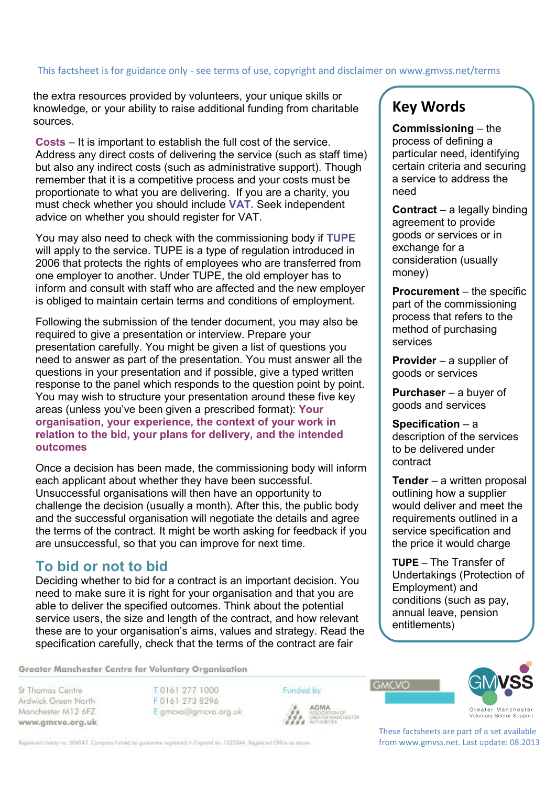# This factsheet is for guidance only - see terms of use, copyright and disclaimer on www.gmvss.net/terms

the extra resources provided by volunteers, your unique skills or knowledge, or your ability to raise additional funding from charitable sources.

**Costs** – It is important to establish the full cost of the service. Address any direct costs of delivering the service (such as staff time) but also any indirect costs (such as administrative support). Though remember that it is a competitive process and your costs must be proportionate to what you are delivering. If you are a charity, you must check whether you should include **VAT.** Seek independent advice on whether you should register for VAT.

You may also need to check with the commissioning body if **TUPE** will apply to the service. TUPE is a type of regulation introduced in 2006 that protects the rights of employees who are transferred from one employer to another. Under TUPE, the old employer has to inform and consult with staff who are affected and the new employer is obliged to maintain certain terms and conditions of employment.

Following the submission of the tender document, you may also be required to give a presentation or interview. Prepare your presentation carefully. You might be given a list of questions you need to answer as part of the presentation. You must answer all the questions in your presentation and if possible, give a typed written response to the panel which responds to the question point by point. You may wish to structure your presentation around these five key areas (unless you've been given a prescribed format): **Your organisation, your experience, the context of your work in relation to the bid, your plans for delivery, and the intended outcomes** 

Once a decision has been made, the commissioning body will inform each applicant about whether they have been successful. Unsuccessful organisations will then have an opportunity to challenge the decision (usually a month). After this, the public body and the successful organisation will negotiate the details and agree the terms of the contract. It might be worth asking for feedback if you are unsuccessful, so that you can improve for next time.

## **To bid or not to bid**

Deciding whether to bid for a contract is an important decision. You need to make sure it is right for your organisation and that you are able to deliver the specified outcomes. Think about the potential service users, the size and length of the contract, and how relevant these are to your organisation's aims, values and strategy. Read the specification carefully, check that the terms of the contract are fair

# **Key Words**

**Commissioning** – the process of defining a particular need, identifying certain criteria and securing a service to address the need

**Contract** – a legally binding agreement to provide goods or services or in exchange for a consideration (usually money)

**Procurement** – the specific part of the commissioning process that refers to the method of purchasing services

**Provider** – a supplier of goods or services

**Purchaser** – a buyer of goods and services

**Specification** – a description of the services to be delivered under contract

**Tender** – a written proposal outlining how a supplier would deliver and meet the requirements outlined in a service specification and the price it would charge

**TUPE** – The Transfer of Undertakings (Protection of Employment) and conditions (such as pay, annual leave, pension entitlements)

Greater Manchester Centre for Voluntary Organisation

St Thomas Centre Ardwick Green North Manchester M12 6FZ www.gmcvo.org.uk

T0161 277 1000 F0161 273 8296 E gmcvo@gmcvo.org.uk Funded by



**GMCVO** 



Voluntary Sector Support

These factsheets are part of a set available from www.gmvss.net. Last update: 08.2013

Registered charity no. 504542. Company limited by guarantee registered in England no. 1223344. Registered Office as obove